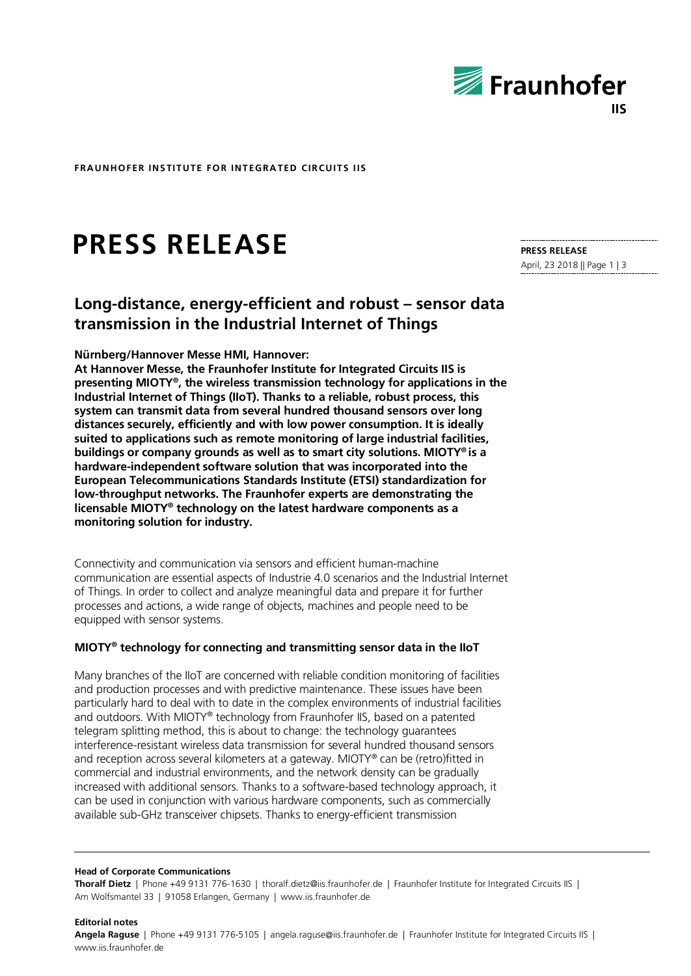

**FRAUNHOFER INSTITUTE FOR INTEGRATED CIRCUITS IIS**

# **PRESS RELEASE**

#### **PRESS RELEASE**

April, 23 2018 || Page 1 | 3

# **Long-distance, energy-efficient and robust – sensor data transmission in the Industrial Internet of Things**

#### **Nürnberg/Hannover Messe HMI, Hannover:**

**At Hannover Messe, the Fraunhofer Institute for Integrated Circuits IIS is presenting MIOTY®, the wireless transmission technology for applications in the Industrial Internet of Things (IIoT). Thanks to a reliable, robust process, this system can transmit data from several hundred thousand sensors over long distances securely, efficiently and with low power consumption. It is ideally suited to applications such as remote monitoring of large industrial facilities, buildings or company grounds as well as to smart city solutions. MIOTY® is a hardware-independent software solution that was incorporated into the European Telecommunications Standards Institute (ETSI) standardization for low-throughput networks. The Fraunhofer experts are demonstrating the licensable MIOTY® technology on the latest hardware components as a monitoring solution for industry.**

Connectivity and communication via sensors and efficient human-machine communication are essential aspects of Industrie 4.0 scenarios and the Industrial Internet of Things. In order to collect and analyze meaningful data and prepare it for further processes and actions, a wide range of objects, machines and people need to be equipped with sensor systems.

#### **MIOTY® technology for connecting and transmitting sensor data in the IIoT**

Many branches of the IIoT are concerned with reliable condition monitoring of facilities and production processes and with predictive maintenance. These issues have been particularly hard to deal with to date in the complex environments of industrial facilities and outdoors. With MIOTY® technology from Fraunhofer IIS, based on a patented telegram splitting method, this is about to change: the technology guarantees interference-resistant wireless data transmission for several hundred thousand sensors and reception across several kilometers at a gateway. MIOTY® can be (retro)fitted in commercial and industrial environments, and the network density can be gradually increased with additional sensors. Thanks to a software-based technology approach, it can be used in conjunction with various hardware components, such as commercially available sub-GHz transceiver chipsets. Thanks to energy-efficient transmission

#### **Head of Corporate Communications**

**Thoralf Dietz** | Phone +49 9131 776-1630 | thoralf.dietz@iis.fraunhofer.de | Fraunhofer Institute for Integrated Circuits IIS | Am Wolfsmantel 33 | 91058 Erlangen, Germany | www.iis.fraunhofer.de

**Editorial notes Angela Raguse** | Phone +49 9131 776-5105 | angela.raguse@iis.fraunhofer.de | Fraunhofer Institute for Integrated Circuits IIS | www.iis.fraunhofer.de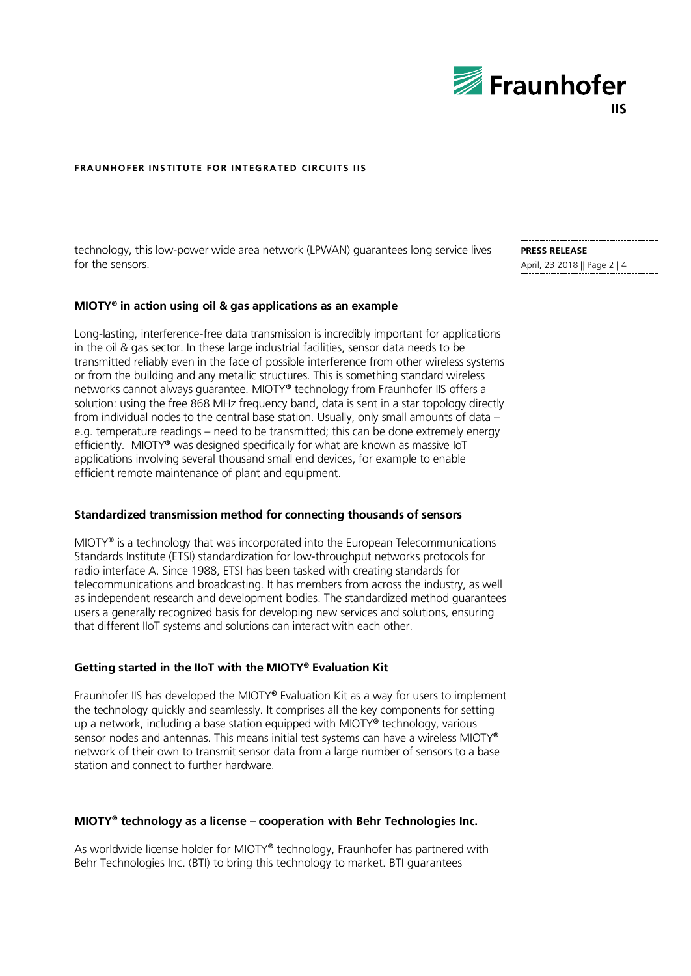

#### **FRAUNHOFER INSTITUTE FOR INTEGRATED CIRCUITS IIS**

technology, this low-power wide area network (LPWAN) guarantees long service lives for the sensors.

#### **MIOTY® in action using oil & gas applications as an example**

Long-lasting, interference-free data transmission is incredibly important for applications in the oil & gas sector. In these large industrial facilities, sensor data needs to be transmitted reliably even in the face of possible interference from other wireless systems or from the building and any metallic structures. This is something standard wireless networks cannot always guarantee. MIOTY**®** technology from Fraunhofer IIS offers a solution: using the free 868 MHz frequency band, data is sent in a star topology directly from individual nodes to the central base station. Usually, only small amounts of data – e.g. temperature readings – need to be transmitted; this can be done extremely energy efficiently. MIOTY**®** was designed specifically for what are known as massive IoT applications involving several thousand small end devices, for example to enable efficient remote maintenance of plant and equipment.

#### **Standardized transmission method for connecting thousands of sensors**

MIOTY® is a technology that was incorporated into the European Telecommunications Standards Institute (ETSI) standardization for low-throughput networks protocols for radio interface A. Since 1988, ETSI has been tasked with creating standards for telecommunications and broadcasting. It has members from across the industry, as well as independent research and development bodies. The standardized method guarantees users a generally recognized basis for developing new services and solutions, ensuring that different IIoT systems and solutions can interact with each other.

#### **Getting started in the IIoT with the MIOTY® Evaluation Kit**

Fraunhofer IIS has developed the MIOTY**®** Evaluation Kit as a way for users to implement the technology quickly and seamlessly. It comprises all the key components for setting up a network, including a base station equipped with MIOTY**®** technology, various sensor nodes and antennas. This means initial test systems can have a wireless MIOTY**®** network of their own to transmit sensor data from a large number of sensors to a base station and connect to further hardware.

### **MIOTY® technology as a license – cooperation with Behr Technologies Inc.**

As worldwide license holder for MIOTY**®** technology, Fraunhofer has partnered with Behr Technologies Inc. (BTI) to bring this technology to market. BTI guarantees

**PRESS RELEASE** April, 23 2018 || Page 2 | 4